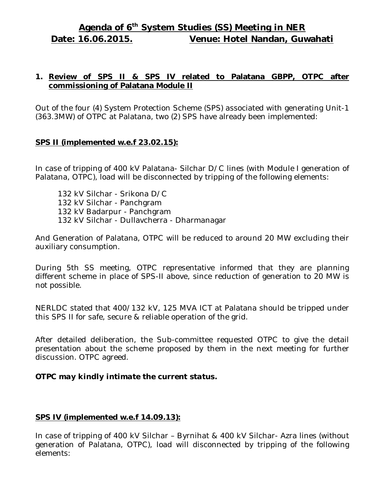# **Agenda of 6 th System Studies (SS) Meeting in NER Date: 16.06.2015. Venue: Hotel Nandan, Guwahati**

## **1. Review of SPS II & SPS IV related to Palatana GBPP, OTPC after commissioning of Palatana Module II**

Out of the four (4) System Protection Scheme (SPS) associated with generating Unit-1 (363.3MW) of OTPC at Palatana, two (2) SPS have already been implemented:

## **SPS II (implemented w.e.f 23.02.15):**

In case of tripping of 400 kV Palatana- Silchar D/C lines (with Module I generation of Palatana, OTPC), load will be disconnected by tripping of the following elements:

132 kV Silchar - Srikona D/C 132 kV Silchar - Panchgram 132 kV Badarpur - Panchgram 132 kV Silchar - Dullavcherra - Dharmanagar

And Generation of Palatana, OTPC will be reduced to around 20 MW excluding their auxiliary consumption.

During 5th SS meeting, OTPC representative informed that they are planning different scheme in place of SPS-II above, since reduction of generation to 20 MW is not possible.

NERLDC stated that 400/132 kV, 125 MVA ICT at Palatana should be tripped under this SPS II for safe, secure & reliable operation of the grid.

After detailed deliberation, the Sub-committee requested OTPC to give the detail presentation about the scheme proposed by them in the next meeting for further discussion. OTPC agreed.

#### *OTPC may kindly intimate the current status.*

## **SPS IV (implemented w.e.f 14.09.13):**

In case of tripping of 400 kV Silchar – Byrnihat & 400 kV Silchar- Azra lines (without generation of Palatana, OTPC), load will disconnected by tripping of the following elements: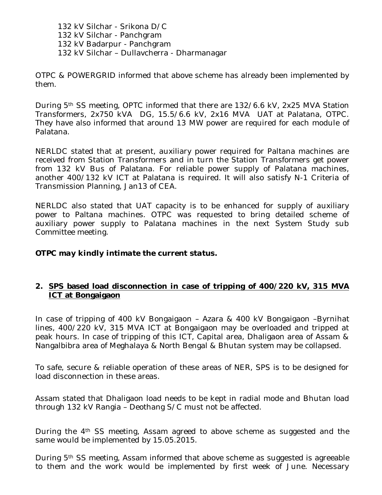132 kV Silchar - Srikona D/C 132 kV Silchar - Panchgram 132 kV Badarpur - Panchgram 132 kV Silchar – Dullavcherra - Dharmanagar

OTPC & POWERGRID informed that above scheme has already been implemented by them.

During 5th SS meeting, OPTC informed that there are 132/6.6 kV, 2x25 MVA Station Transformers, 2x750 kVA DG, 15.5/6.6 kV, 2x16 MVA UAT at Palatana, OTPC. They have also informed that around 13 MW power are required for each module of Palatana.

NERLDC stated that at present, auxiliary power required for Paltana machines are received from Station Transformers and in turn the Station Transformers get power from 132 kV Bus of Palatana. For reliable power supply of Palatana machines, another 400/132 kV ICT at Palatana is required. It will also satisfy N-1 Criteria of Transmission Planning, Jan13 of CEA.

NERLDC also stated that UAT capacity is to be enhanced for supply of auxiliary power to Paltana machines. OTPC was requested to bring detailed scheme of auxiliary power supply to Palatana machines in the next System Study sub Committee meeting.

## *OTPC may kindly intimate the current status.*

#### **2. SPS based load disconnection in case of tripping of 400/220 kV, 315 MVA ICT at Bongaigaon**

In case of tripping of 400 kV Bongaigaon – Azara & 400 kV Bongaigaon –Byrnihat lines, 400/220 kV, 315 MVA ICT at Bongaigaon may be overloaded and tripped at peak hours. In case of tripping of this ICT, Capital area, Dhaligaon area of Assam & Nangalbibra area of Meghalaya & North Bengal & Bhutan system may be collapsed.

To safe, secure & reliable operation of these areas of NER, SPS is to be designed for load disconnection in these areas.

Assam stated that Dhaligaon load needs to be kept in radial mode and Bhutan load through 132 kV Rangia – Deothang S/C must not be affected.

During the 4<sup>th</sup> SS meeting, Assam agreed to above scheme as suggested and the same would be implemented by 15.05.2015.

During 5th SS meeting, Assam informed that above scheme as suggested is agreeable to them and the work would be implemented by first week of June. Necessary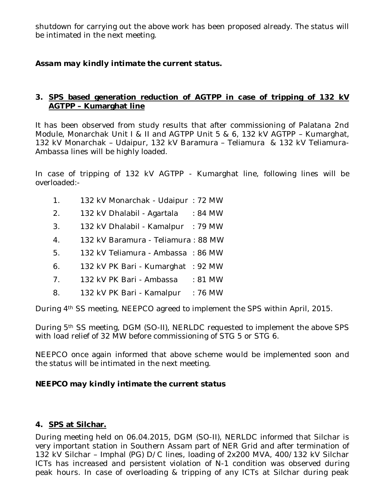shutdown for carrying out the above work has been proposed already. The status will be intimated in the next meeting.

# *Assam may kindly intimate the current status.*

## **3. SPS based generation reduction of AGTPP in case of tripping of 132 kV AGTPP – Kumarghat line**

It has been observed from study results that after commissioning of Palatana 2nd Module, Monarchak Unit I & II and AGTPP Unit 5 & 6, 132 kV AGTPP – Kumarghat, 132 kV Monarchak – Udaipur, 132 kV Baramura – Teliamura & 132 kV Teliamura-Ambassa lines will be highly loaded.

In case of tripping of 132 kV AGTPP - Kumarghat line, following lines will be overloaded:-

- 1. 132 kV Monarchak Udaipur : 72 MW
- 2. 132 kV Dhalabil Agartala : 84 MW
- 3. 132 kV Dhalabil Kamalpur : 79 MW
- 4. 132 kV Baramura Teliamura : 88 MW
- 5. 132 kV Teliamura Ambassa : 86 MW
- 6. 132 kV PK Bari Kumarghat : 92 MW
- 7. 132 kV PK Bari Ambassa : 81 MW
- 8. 132 kV PK Bari Kamalpur : 76 MW

During 4th SS meeting, NEEPCO agreed to implement the SPS within April, 2015.

During 5th SS meeting, DGM (SO-II), NERLDC requested to implement the above SPS with load relief of 32 MW before commissioning of STG 5 or STG 6.

NEEPCO once again informed that above scheme would be implemented soon and the status will be intimated in the next meeting.

# *NEEPCO may kindly intimate the current status*

## **4. SPS at Silchar.**

During meeting held on 06.04.2015, DGM (SO-II), NERLDC informed that Silchar is very important station in Southern Assam part of NER Grid and after termination of 132 kV Silchar – Imphal (PG) D/C lines, loading of 2x200 MVA, 400/132 kV Silchar ICTs has increased and persistent violation of N-1 condition was observed during peak hours. In case of overloading & tripping of any ICTs at Silchar during peak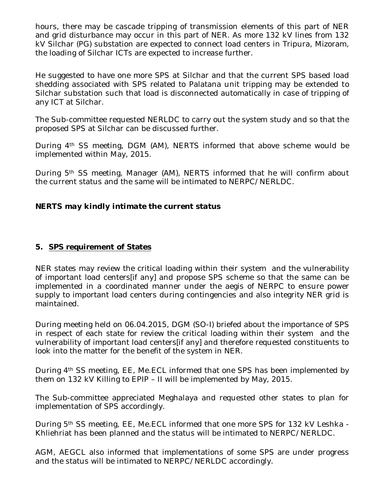hours, there may be cascade tripping of transmission elements of this part of NER and grid disturbance may occur in this part of NER. As more 132 kV lines from 132 kV Silchar (PG) substation are expected to connect load centers in Tripura, Mizoram, the loading of Silchar ICTs are expected to increase further.

He suggested to have one more SPS at Silchar and that the current SPS based load shedding associated with SPS related to Palatana unit tripping may be extended to Silchar substation such that load is disconnected automatically in case of tripping of any ICT at Silchar.

The Sub-committee requested NERLDC to carry out the system study and so that the proposed SPS at Silchar can be discussed further.

During 4th SS meeting, DGM (AM), NERTS informed that above scheme would be implemented within May, 2015.

During 5th SS meeting, Manager (AM), NERTS informed that he will confirm about the current status and the same will be intimated to NERPC/NERLDC.

## *NERTS may kindly intimate the current status*

## **5. SPS requirement of States**

NER states may review the critical loading within their system and the vulnerability of important load centers[if any] and propose SPS scheme so that the same can be implemented in a coordinated manner under the aegis of NERPC to ensure power supply to important load centers during contingencies and also integrity NER grid is maintained.

During meeting held on 06.04.2015, DGM (SO-I) briefed about the importance of SPS in respect of each state for review the critical loading within their system and the vulnerability of important load centers[if any] and therefore requested constituents to look into the matter for the benefit of the system in NER.

During 4th SS meeting, EE, Me.ECL informed that one SPS has been implemented by them on 132 kV Killing to EPIP – II will be implemented by May, 2015.

The Sub-committee appreciated Meghalaya and requested other states to plan for implementation of SPS accordingly.

During 5th SS meeting, EE, Me.ECL informed that one more SPS for 132 kV Leshka - Khliehriat has been planned and the status will be intimated to NERPC/NERLDC.

AGM, AEGCL also informed that implementations of some SPS are under progress and the status will be intimated to NERPC/NERLDC accordingly.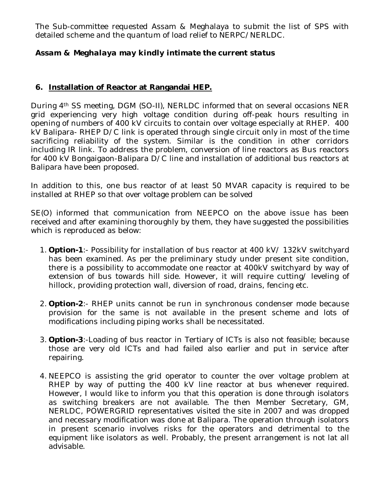The Sub-committee requested Assam & Meghalaya to submit the list of SPS with detailed scheme and the quantum of load relief to NERPC/NERLDC.

## *Assam & Meghalaya may kindly intimate the current status*

## **6. Installation of Reactor at Rangandai HEP.**

During 4th SS meeting, DGM (SO-II), NERLDC informed that on several occasions NER grid experiencing very high voltage condition during off-peak hours resulting in opening of numbers of 400 kV circuits to contain over voltage especially at RHEP. 400 kV Balipara- RHEP D/C link is operated through single circuit only in most of the time sacrificing reliability of the system. Similar is the condition in other corridors including IR link. To address the problem, conversion of line reactors as Bus reactors for 400 kV Bongaigaon-Balipara D/C line and installation of additional bus reactors at Balipara have been proposed.

In addition to this, one bus reactor of at least 50 MVAR capacity is required to be installed at RHEP so that over voltage problem can be solved

SE(O) informed that communication from NEEPCO on the above issue has been received and after examining thoroughly by them, they have suggested the possibilities which is reproduced as below:

- 1. **Option-1**:- Possibility for installation of bus reactor at 400 kV/ 132kV switchyard has been examined. As per the preliminary study under present site condition, there is a possibility to accommodate one reactor at 400kV switchyard by way of extension of bus towards hill side. However, it will require cutting/ leveling of hillock, providing protection wall, diversion of road, drains, fencing etc.
- 2. **Option-2**:- RHEP units cannot be run in synchronous condenser mode because provision for the same is not available in the present scheme and lots of modifications including piping works shall be necessitated.
- 3. **Option-3**:-Loading of bus reactor in Tertiary of ICTs is also not feasible; because those are very old ICTs and had failed also earlier and put in service after repairing.
- 4. NEEPCO is assisting the grid operator to counter the over voltage problem at RHEP by way of putting the 400 kV line reactor at bus whenever required. However, I would like to inform you that this operation is done through isolators as switching breakers are not available. The then Member Secretary, GM, NERLDC, POWERGRID representatives visited the site in 2007 and was dropped and necessary modification was done at Balipara. The operation through isolators in present scenario involves risks for the operators and detrimental to the equipment like isolators as well. Probably, the present arrangement is not lat all advisable.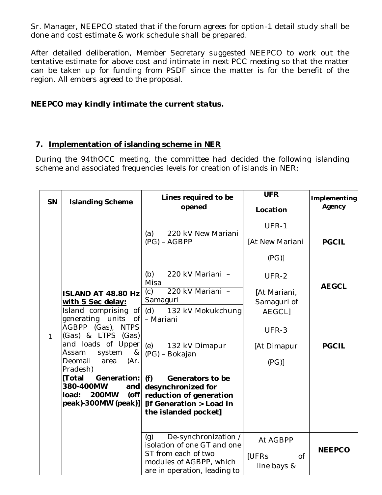Sr. Manager, NEEPCO stated that if the forum agrees for option-1 detail study shall be done and cost estimate & work schedule shall be prepared.

After detailed deliberation, Member Secretary suggested NEEPCO to work out the tentative estimate for above cost and intimate in next PCC meeting so that the matter can be taken up for funding from PSDF since the matter is for the benefit of the region. All embers agreed to the proposal.

## *NEEPCO may kindly intimate the current status.*

## **7. Implementation of islanding scheme in NER**

During the 94thOCC meeting, the committee had decided the following islanding scheme and associated frequencies levels for creation of islands in NER:

| SN           | <b>Islanding Scheme</b>                                                                                                                                                                                                                                                                                                                                          | Lines required to be<br>opened                                                                                                               | <b>UFR</b><br>Location                                | Implementing<br>Agency |
|--------------|------------------------------------------------------------------------------------------------------------------------------------------------------------------------------------------------------------------------------------------------------------------------------------------------------------------------------------------------------------------|----------------------------------------------------------------------------------------------------------------------------------------------|-------------------------------------------------------|------------------------|
| $\mathbf{1}$ | <b>ISLAND AT 48.80 Hz</b><br>with 5 Sec delay:<br>Island comprising of<br>generating units<br>of<br>AGBPP (Gas), NTPS<br>(Gas) & LTPS (Gas)<br>and loads of Upper<br>Assam<br>system<br>8 <sub>k</sub><br>Deomali<br>area<br>(Ar)<br>Pradesh)<br> [Total<br>Generation:<br>380-400MW<br>and<br><b>200MW</b><br>$($ off<br>load:<br>$ peak\rangle$ -300MW (peak)] | (a)<br>220 kV New Mariani<br>$(PG) - AGBPP$                                                                                                  | UFR-1<br>[At New Mariani<br>(PG)                      | <b>PGCIL</b>           |
|              |                                                                                                                                                                                                                                                                                                                                                                  | (b)<br>220 kV Mariani -<br>Misa<br>220 kV Mariani -<br>(c)<br>Samaguri<br>(d) 132 kV Mokukchung<br>- Mariani                                 | UFR-2<br>[At Mariani,<br>Samaguri of<br><b>AEGCLI</b> | <b>AEGCL</b>           |
|              |                                                                                                                                                                                                                                                                                                                                                                  | (e) 132 kV Dimapur<br>(PG) - Bokajan                                                                                                         | UFR-3<br>[At Dimapur<br>(PG)                          | <b>PGCIL</b>           |
|              |                                                                                                                                                                                                                                                                                                                                                                  | (f)<br>Generators to be<br>desynchronized for<br>reduction of generation<br>[if Generation > Load in<br>the islanded pocket]                 |                                                       |                        |
|              |                                                                                                                                                                                                                                                                                                                                                                  | De-synchronization /<br>(q)<br>isolation of one GT and one<br>ST from each of two<br>modules of AGBPP, which<br>are in operation, leading to | At AGBPP<br>[UFRs<br>$\overline{of}$<br>line bays &   | <b>NEEPCO</b>          |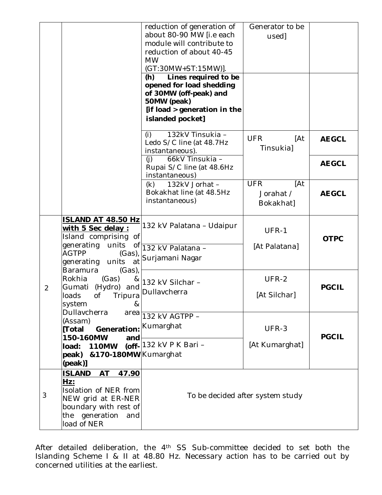|                |                                                                                                                                                                                      | reduction of generation of<br>about 80-90 MW [i.e each<br>module will contribute to<br>reduction of about 40-45<br><b>MW</b><br>(GT:30MW+ST:15MW)].<br>(h)<br>Lines required to be<br>opened for load shedding<br>of 30MW (off-peak) and<br>50MW (peak)<br>[if load > generation in the<br>islanded pocket] | Generator to be<br>used]                    |                              |
|----------------|--------------------------------------------------------------------------------------------------------------------------------------------------------------------------------------|-------------------------------------------------------------------------------------------------------------------------------------------------------------------------------------------------------------------------------------------------------------------------------------------------------------|---------------------------------------------|------------------------------|
|                |                                                                                                                                                                                      | 132kV Tinsukia -<br>(i)<br>Ledo S/C line (at 48.7Hz<br>instantaneous).<br>66kV Tinsukia -<br>(i)<br>Rupai S/C line (at 48.6Hz<br>instantaneous)                                                                                                                                                             | <b>UFR</b><br>[At<br>Tinsukia]              | <b>AEGCL</b><br><b>AEGCL</b> |
|                |                                                                                                                                                                                      | (k)<br>132kV Jorhat -<br>Bokakhat line (at 48.5Hz<br>instantaneous)                                                                                                                                                                                                                                         | <b>UFR</b><br>[At<br>Jorahat /<br>Bokakhat] | <b>AEGCL</b>                 |
|                | <b>ISLAND AT 48.50 Hz</b><br>with 5 Sec delay:<br>Island comprising of<br>generating<br>units<br><b>AGTPP</b><br>$(Gas)$ ,<br>generating units<br>at<br><b>Baramura</b><br>$(Gas)$ , | 132 kV Palatana - Udaipur<br>of 132 kV Palatana -<br>Surjamani Nagar                                                                                                                                                                                                                                        | UFR-1<br>[At Palatana]                      | <b>OTPC</b>                  |
| $\overline{2}$ | Rokhia<br>(Gas)<br>8 <sub>k</sub><br>(Hydro) and<br>Gumati<br>loads<br>Οf<br>Tripura<br>system<br>&<br>Dullavcherra<br>area                                                          | 132 kV Silchar -<br>Dullavcherra                                                                                                                                                                                                                                                                            | UFR-2<br>[At Silchar]                       | <b>PGCIL</b>                 |
|                | (Assam)<br>[Total<br>Generation:<br>150-160MW<br>and<br>load: 110MW<br>&170-180MW Kumarghat<br>peak)<br>(peak)]                                                                      | 132 kV AGTPP -<br>Kumarghat<br>(off- 132 kV P K Bari -                                                                                                                                                                                                                                                      | UFR-3<br>[At Kumarghat]                     | <b>PGCIL</b>                 |
| 3              | <b>ISLAND</b><br><b>AT</b><br>47.90<br>Hz:<br>Isolation of NER from<br>NEW grid at ER-NER<br>boundary with rest of<br>the generation<br>and<br>load of NER                           | To be decided after system study                                                                                                                                                                                                                                                                            |                                             |                              |

After detailed deliberation, the 4<sup>th</sup> SS Sub-committee decided to set both the Islanding Scheme I & II at 48.80 Hz. Necessary action has to be carried out by concerned utilities at the earliest.